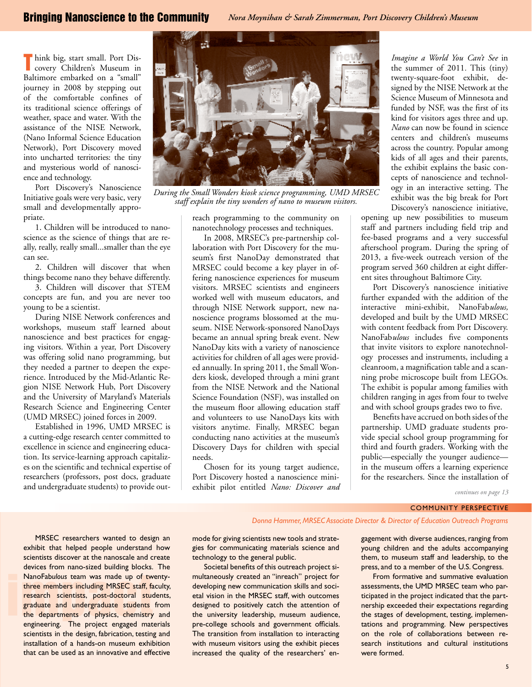**T** hink big, start small. Port Discovery Children's Museum in covery Children's Museum in Baltimore embarked on a "small" journey in 2008 by stepping out of the comfortable confines of its traditional science offerings of weather, space and water. With the assistance of the NISE Network, (Nano Informal Science Education Network), Port Discovery moved into uncharted territories: the tiny and mysterious world of nanoscience and technology.

Port Discovery's Nanoscience Initiative goals were very basic, very small and developmentally appropriate.

1. Children will be introduced to nanoscience as the science of things that are really, really, really small...smaller than the eye can see.

2. Children will discover that when things become nano they behave differently.

3. Children will discover that STEM concepts are fun, and you are never too young to be a scientist.

During NISE Network conferences and workshops, museum staff learned about nanoscience and best practices for engaging visitors. Within a year, Port Discovery was offering solid nano programming, but they needed a partner to deepen the experience. Introduced by the Mid-Atlantic Region NISE Network Hub, Port Discovery and the University of Maryland's Materials Research Science and Engineering Center (UMD MRSEC) joined forces in 2009.

Established in 1996, UMD MRSEC is a cutting-edge research center committed to excellence in science and engineering education. Its service-learning approach capitalizes on the scientific and technical expertise of researchers (professors, post docs, graduate and undergraduate students) to provide out-



*During the Small Wonders kiosk science programming, UMD MRSEC staff explain the tiny wonders of nano to museum visitors.*

reach programming to the community on nanotechnology processes and techniques.

In 2008, MRSEC's pre-partnership collaboration with Port Discovery for the museum's first NanoDay demonstrated that MRSEC could become a key player in offering nanoscience experiences for museum visitors. MRSEC scientists and engineers worked well with museum educators, and through NISE Network support, new nanoscience programs blossomed at the museum. NISE Network-sponsored NanoDays became an annual spring break event. New NanoDay kits with a variety of nanoscience activities for children of all ages were provided annually. In spring 2011, the Small Wonders kiosk, developed through a mini grant from the NISE Network and the National Science Foundation (NSF), was installed on the museum floor allowing education staff and volunteers to use NanoDays kits with visitors anytime. Finally, MRSEC began conducting nano activities at the museum's Discovery Days for children with special needs.

Chosen for its young target audience, Port Discovery hosted a nanoscience miniexhibit pilot entitled *Nano: Discover and* 

*Imagine a World You Can't See* in the summer of 2011*.* This (tiny) twenty-square-foot exhibit, designed by the NISE Network at the Science Museum of Minnesota and funded by NSF, was the first of its kind for visitors ages three and up. *Nano* can now be found in science centers and children's museums across the country. Popular among kids of all ages and their parents, the exhibit explains the basic concepts of nanoscience and technology in an interactive setting. The exhibit was the big break for Port Discovery's nanoscience initiative,

opening up new possibilities to museum staff and partners including field trip and fee-based programs and a very successful afterschool program. During the spring of 2013, a five-week outreach version of the program served 360 children at eight different sites throughout Baltimore City.

Port Discovery's nanoscience initiative further expanded with the addition of the interactive mini-exhibit, NanoFab*ulous,*  developed and built by the UMD MRSEC with content feedback from Port Discovery. NanoFab*ulous* includes five components that invite visitors to explore nanotechnology processes and instruments, including a cleanroom, a magnification table and a scanning probe microscope built from LEGOs. The exhibit is popular among families with children ranging in ages from four to twelve and with school groups grades two to five.

Benefits have accrued on both sides of the partnership. UMD graduate students provide special school group programming for third and fourth graders. Working with the public—especially the younger audience in the museum offers a learning experience for the researchers. Since the installation of

*continues on page 13*

## Community Perspective

*Donna Hammer, MRSEC Associate Director & Director of Education Outreach Programs*

NanoFabulous team was made up of twenty-<br>three members including MRSEC staff, faculty,<br>research scientists, post-doctoral students,<br>graduate and undergraduate students from<br>the departments of physics, chemistry and<br>onginee MRSEC researchers wanted to design an exhibit that helped people understand how scientists discover at the nanoscale and create devices from nano-sized building blocks. The NanoFab*ulous* team was made up of twentythree members including MRSEC staff, faculty, research scientists, post-doctoral students, graduate and undergraduate students from engineering. The project engaged materials scientists in the design, fabrication, testing and installation of a hands-on museum exhibition that can be used as an innovative and effective

mode for giving scientists new tools and strategies for communicating materials science and technology to the general public.

Societal benefits of this outreach project simultaneously created an "inreach" project for developing new communication skills and societal vision in the MRSEC staff, with outcomes designed to positively catch the attention of the university leadership, museum audience, pre-college schools and government officials. The transition from installation to interacting with museum visitors using the exhibit pieces increased the quality of the researchers' en-

gagement with diverse audiences, ranging from young children and the adults accompanying them, to museum staff and leadership, to the press, and to a member of the U.S. Congress.

From formative and summative evaluation assessments, the UMD MRSEC team who participated in the project indicated that the partnership exceeded their expectations regarding the stages of development, testing, implementations and programming. New perspectives on the role of collaborations between research institutions and cultural institutions were formed.